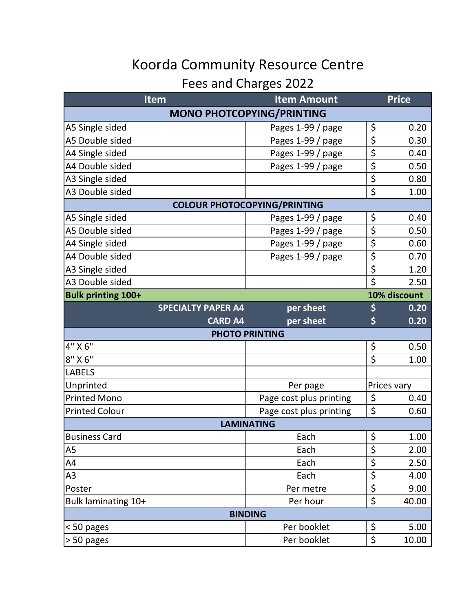## Koorda Community Resource Centre

## Fees and Charges 2022

| <b>Item</b>                         | <b>Item Amount</b>      |                                 | <b>Price</b> |  |  |
|-------------------------------------|-------------------------|---------------------------------|--------------|--|--|
| <b>MONO PHOTCOPYING/PRINTING</b>    |                         |                                 |              |  |  |
| A5 Single sided                     | Pages 1-99 / page       | \$                              | 0.20         |  |  |
| A5 Double sided                     | Pages 1-99 / page       | \$                              | 0.30         |  |  |
| A4 Single sided                     | Pages 1-99 / page       | \$                              | 0.40         |  |  |
| A4 Double sided                     | Pages 1-99 / page       | $\overline{\boldsymbol{\zeta}}$ | 0.50         |  |  |
| A3 Single sided                     |                         | \$                              | 0.80         |  |  |
| A3 Double sided                     |                         | \$                              | 1.00         |  |  |
| <b>COLOUR PHOTOCOPYING/PRINTING</b> |                         |                                 |              |  |  |
| A5 Single sided                     | Pages 1-99 / page       | \$                              | 0.40         |  |  |
| A5 Double sided                     | Pages 1-99 / page       | \$                              | 0.50         |  |  |
| A4 Single sided                     | Pages 1-99 / page       | \$                              | 0.60         |  |  |
| A4 Double sided                     | Pages 1-99 / page       | \$                              | 0.70         |  |  |
| A3 Single sided                     |                         | \$                              | 1.20         |  |  |
| A3 Double sided                     |                         | $\overline{\mathsf{S}}$         | 2.50         |  |  |
| <b>Bulk printing 100+</b>           | 10% discount            |                                 |              |  |  |
| <b>SPECIALTY PAPER A4</b>           | per sheet               | \$                              | 0.20         |  |  |
| <b>CARD A4</b>                      | per sheet               | \$                              | 0.20         |  |  |
| <b>PHOTO PRINTING</b>               |                         |                                 |              |  |  |
| 4" X 6"                             |                         | \$                              | 0.50         |  |  |
| $8"$ X $6"$                         |                         | \$                              | 1.00         |  |  |
| <b>LABELS</b>                       |                         |                                 |              |  |  |
| Unprinted                           | Per page                | Prices vary                     |              |  |  |
| <b>Printed Mono</b>                 | Page cost plus printing | \$                              | 0.40         |  |  |
| <b>Printed Colour</b>               | Page cost plus printing | \$                              | 0.60         |  |  |
| <b>LAMINATING</b>                   |                         |                                 |              |  |  |
| <b>Business Card</b>                | Each                    | \$                              | 1.00         |  |  |
| A5                                  | Each                    | \$                              | 2.00         |  |  |
| A4                                  | Each                    | \$                              | 2.50         |  |  |
| A3                                  | Each                    | \$                              | 4.00         |  |  |
| Poster                              | Per metre               | \$                              | 9.00         |  |  |
| Bulk laminating 10+                 | Per hour                | \$                              | 40.00        |  |  |
| <b>BINDING</b>                      |                         |                                 |              |  |  |
| < 50 pages                          | Per booklet             | \$                              | 5.00         |  |  |
| > 50 pages                          | Per booklet             | \$                              | 10.00        |  |  |